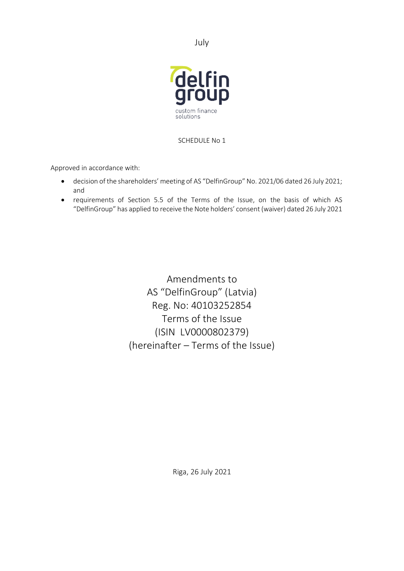July



SCHEDULE No 1

Approved in accordance with:

- decision of the shareholders' meeting of AS "DelfinGroup" No. 2021/06 dated 26 July 2021; and
- requirements of Section 5.5 of the Terms of the Issue, on the basis of which AS "DelfinGroup" has applied to receive the Note holders' consent (waiver) dated 26 July 2021

Amendments to AS "DelfinGroup" (Latvia) Reg. No: 40103252854 Terms of the Issue (ISIN LV0000802379) (hereinafter – Terms of the Issue)

Riga, 26 July 2021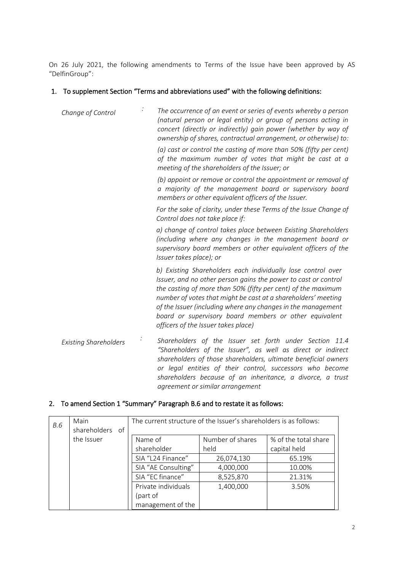On 26 July 2021, the following amendments to Terms of the Issue have been approved by AS "DelfinGroup":

# 1. To supplement Section "Terms and abbreviations used" with the following definitions:

| Change of Control            | The occurrence of an event or series of events whereby a person<br>(natural person or legal entity) or group of persons acting in<br>concert (directly or indirectly) gain power (whether by way of<br>ownership of shares, contractual arrangement, or otherwise) to:                                                                                                                                                           |  |  |
|------------------------------|----------------------------------------------------------------------------------------------------------------------------------------------------------------------------------------------------------------------------------------------------------------------------------------------------------------------------------------------------------------------------------------------------------------------------------|--|--|
|                              | (a) cast or control the casting of more than 50% (fifty per cent)<br>of the maximum number of votes that might be cast at a<br>meeting of the shareholders of the Issuer; or                                                                                                                                                                                                                                                     |  |  |
|                              | (b) appoint or remove or control the appointment or removal of<br>a majority of the management board or supervisory board<br>members or other equivalent officers of the Issuer.                                                                                                                                                                                                                                                 |  |  |
|                              | For the sake of clarity, under these Terms of the Issue Change of<br>Control does not take place if:                                                                                                                                                                                                                                                                                                                             |  |  |
|                              | a) change of control takes place between Existing Shareholders<br>(including where any changes in the management board or<br>supervisory board members or other equivalent officers of the<br>Issuer takes place); or                                                                                                                                                                                                            |  |  |
|                              | b) Existing Shareholders each individually lose control over<br>Issuer, and no other person gains the power to cast or control<br>the casting of more than 50% (fifty per cent) of the maximum<br>number of votes that might be cast at a shareholders' meeting<br>of the Issuer (including where any changes in the management<br>board or supervisory board members or other equivalent<br>officers of the Issuer takes place) |  |  |
| <b>Existing Shareholders</b> | Shareholders of the Issuer set forth under Section 11.4<br>"Shareholders of the Issuer", as well as direct or indirect<br>shareholders of those shareholders, ultimate beneficial owners<br>or legal entities of their control, successors who become                                                                                                                                                                            |  |  |

*shareholders because of an inheritance, a divorce, a trust* 

# 2. To amend Section 1 "Summary" Paragraph B.6 and to restate it as follows:

| B.6 | Main<br>shareholders of | The current structure of the Issuer's shareholders is as follows: |                  |                      |
|-----|-------------------------|-------------------------------------------------------------------|------------------|----------------------|
|     | the Issuer              | Name of                                                           | Number of shares | % of the total share |
|     |                         | shareholder                                                       | held             | capital held         |
|     |                         | SIA "L24 Finance"                                                 | 26,074,130       | 65.19%               |
|     |                         | SIA "AE Consulting"                                               | 4,000,000        | 10.00%               |
|     |                         | SIA "EC finance"                                                  | 8,525,870        | 21.31%               |
|     |                         | Private individuals                                               | 1,400,000        | 3.50%                |
|     |                         | (part of                                                          |                  |                      |
|     |                         | management of the                                                 |                  |                      |

*agreement or similar arrangement*